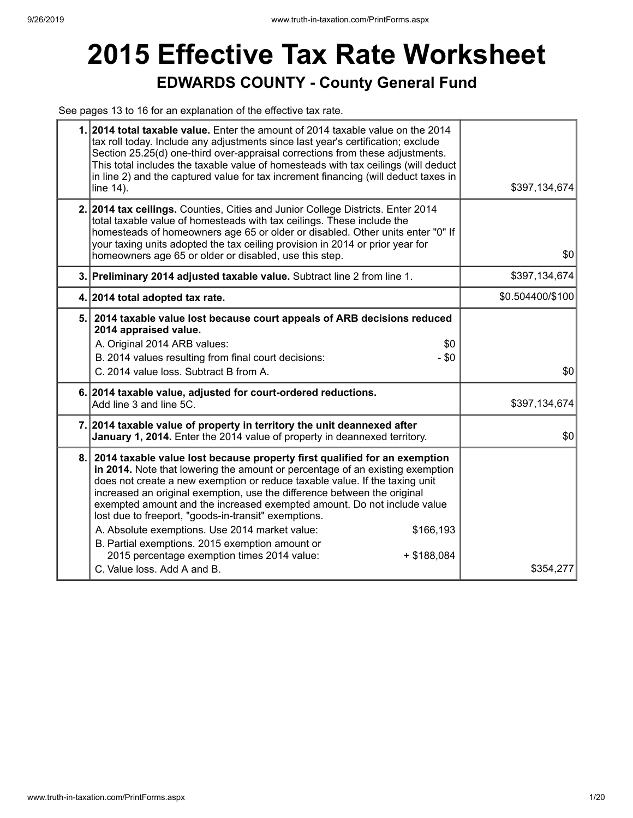## **2015 Effective Tax Rate Worksheet EDWARDS COUNTY - County General Fund**

See pages 13 to 16 for an explanation of the effective tax rate.

| 1. 2014 total taxable value. Enter the amount of 2014 taxable value on the 2014<br>tax roll today. Include any adjustments since last year's certification; exclude<br>Section 25.25(d) one-third over-appraisal corrections from these adjustments.<br>This total includes the taxable value of homesteads with tax ceilings (will deduct<br>in line 2) and the captured value for tax increment financing (will deduct taxes in<br>line 14).                                                                                                                                                                                                                               | \$397,134,674    |
|------------------------------------------------------------------------------------------------------------------------------------------------------------------------------------------------------------------------------------------------------------------------------------------------------------------------------------------------------------------------------------------------------------------------------------------------------------------------------------------------------------------------------------------------------------------------------------------------------------------------------------------------------------------------------|------------------|
| 2. 2014 tax ceilings. Counties, Cities and Junior College Districts. Enter 2014<br>total taxable value of homesteads with tax ceilings. These include the<br>homesteads of homeowners age 65 or older or disabled. Other units enter "0" If<br>your taxing units adopted the tax ceiling provision in 2014 or prior year for<br>homeowners age 65 or older or disabled, use this step.                                                                                                                                                                                                                                                                                       | \$0              |
| 3. Preliminary 2014 adjusted taxable value. Subtract line 2 from line 1.                                                                                                                                                                                                                                                                                                                                                                                                                                                                                                                                                                                                     | \$397,134,674    |
| 4. 2014 total adopted tax rate.                                                                                                                                                                                                                                                                                                                                                                                                                                                                                                                                                                                                                                              | \$0.504400/\$100 |
| 5. 2014 taxable value lost because court appeals of ARB decisions reduced<br>2014 appraised value.<br>A. Original 2014 ARB values:<br>\$0<br>B. 2014 values resulting from final court decisions:<br>$-$ \$0<br>C. 2014 value loss. Subtract B from A.                                                                                                                                                                                                                                                                                                                                                                                                                       | \$0              |
| 6. 2014 taxable value, adjusted for court-ordered reductions.<br>Add line 3 and line 5C.                                                                                                                                                                                                                                                                                                                                                                                                                                                                                                                                                                                     | \$397,134,674    |
| 7. 2014 taxable value of property in territory the unit deannexed after<br>January 1, 2014. Enter the 2014 value of property in deannexed territory.                                                                                                                                                                                                                                                                                                                                                                                                                                                                                                                         | \$0              |
| 8. 2014 taxable value lost because property first qualified for an exemption<br>in 2014. Note that lowering the amount or percentage of an existing exemption<br>does not create a new exemption or reduce taxable value. If the taxing unit<br>increased an original exemption, use the difference between the original<br>exempted amount and the increased exempted amount. Do not include value<br>lost due to freeport, "goods-in-transit" exemptions.<br>A. Absolute exemptions. Use 2014 market value:<br>\$166,193<br>B. Partial exemptions. 2015 exemption amount or<br>2015 percentage exemption times 2014 value:<br>$+$ \$188,084<br>C. Value loss. Add A and B. | \$354,277        |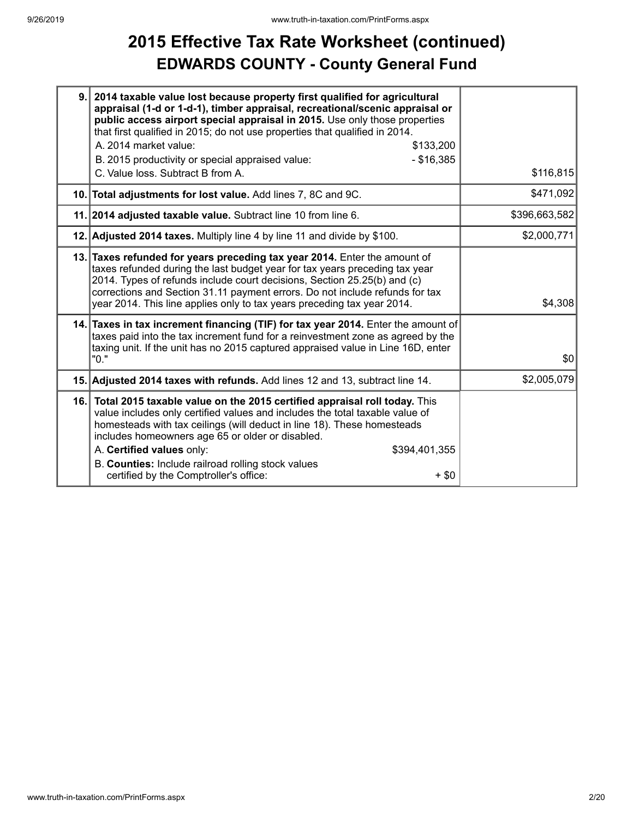## **2015 Effective Tax Rate Worksheet (continued) EDWARDS COUNTY - County General Fund**

| 9.  | 2014 taxable value lost because property first qualified for agricultural<br>appraisal (1-d or 1-d-1), timber appraisal, recreational/scenic appraisal or<br>public access airport special appraisal in 2015. Use only those properties<br>that first qualified in 2015; do not use properties that qualified in 2014.<br>A. 2014 market value:<br>\$133,200<br>$- $16,385$<br>B. 2015 productivity or special appraised value:<br>C. Value loss. Subtract B from A. | \$116,815     |
|-----|----------------------------------------------------------------------------------------------------------------------------------------------------------------------------------------------------------------------------------------------------------------------------------------------------------------------------------------------------------------------------------------------------------------------------------------------------------------------|---------------|
|     | 10. Total adjustments for lost value. Add lines 7, 8C and 9C.                                                                                                                                                                                                                                                                                                                                                                                                        | \$471,092     |
|     | 11. 2014 adjusted taxable value. Subtract line 10 from line 6.                                                                                                                                                                                                                                                                                                                                                                                                       | \$396,663,582 |
|     | 12. Adjusted 2014 taxes. Multiply line 4 by line 11 and divide by \$100.                                                                                                                                                                                                                                                                                                                                                                                             | \$2,000,771   |
|     | 13. Taxes refunded for years preceding tax year 2014. Enter the amount of<br>taxes refunded during the last budget year for tax years preceding tax year<br>2014. Types of refunds include court decisions, Section 25.25(b) and (c)<br>corrections and Section 31.11 payment errors. Do not include refunds for tax<br>year 2014. This line applies only to tax years preceding tax year 2014.                                                                      | \$4,308       |
|     | 14. Taxes in tax increment financing (TIF) for tax year 2014. Enter the amount of<br>taxes paid into the tax increment fund for a reinvestment zone as agreed by the<br>taxing unit. If the unit has no 2015 captured appraised value in Line 16D, enter<br>"0."                                                                                                                                                                                                     | \$0           |
|     | 15. Adjusted 2014 taxes with refunds. Add lines 12 and 13, subtract line 14.                                                                                                                                                                                                                                                                                                                                                                                         | \$2,005,079   |
| 16. | Total 2015 taxable value on the 2015 certified appraisal roll today. This<br>value includes only certified values and includes the total taxable value of<br>homesteads with tax ceilings (will deduct in line 18). These homesteads<br>includes homeowners age 65 or older or disabled.<br>A. Certified values only:<br>\$394,401,355<br>B. Counties: Include railroad rolling stock values<br>certified by the Comptroller's office:<br>$+$ \$0                    |               |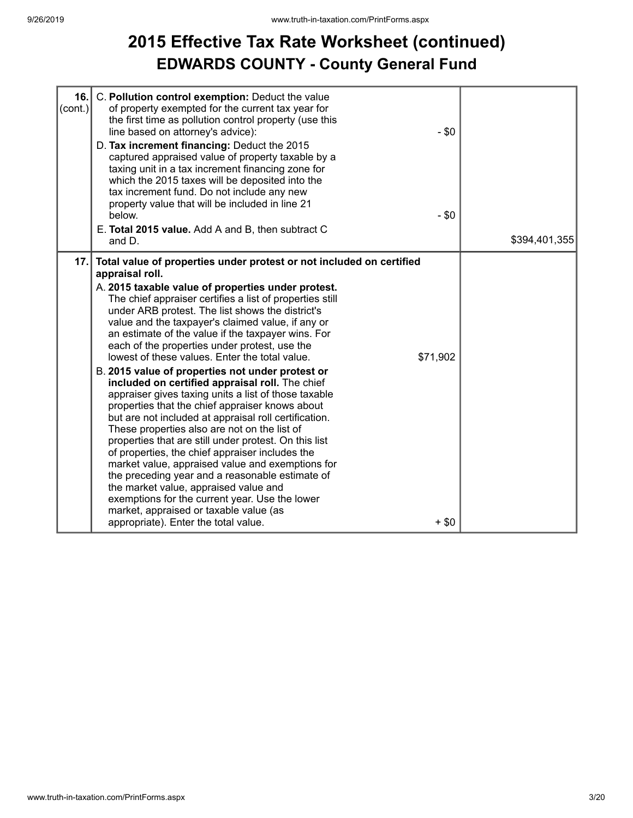## **2015 Effective Tax Rate Worksheet (continued) EDWARDS COUNTY - County General Fund**

| 16.<br>(cont.) | C. Pollution control exemption: Deduct the value<br>of property exempted for the current tax year for<br>the first time as pollution control property (use this<br>line based on attorney's advice):<br>D. Tax increment financing: Deduct the 2015<br>captured appraised value of property taxable by a<br>taxing unit in a tax increment financing zone for<br>which the 2015 taxes will be deposited into the<br>tax increment fund. Do not include any new<br>property value that will be included in line 21<br>below.<br>E. Total 2015 value. Add A and B, then subtract C<br>and D.                                                                                                                                                                                                                                                                                                                                                                                                                                                                                                                                                                                                                         | $-$ \$0<br>$-$ \$0 | \$394,401,355 |
|----------------|--------------------------------------------------------------------------------------------------------------------------------------------------------------------------------------------------------------------------------------------------------------------------------------------------------------------------------------------------------------------------------------------------------------------------------------------------------------------------------------------------------------------------------------------------------------------------------------------------------------------------------------------------------------------------------------------------------------------------------------------------------------------------------------------------------------------------------------------------------------------------------------------------------------------------------------------------------------------------------------------------------------------------------------------------------------------------------------------------------------------------------------------------------------------------------------------------------------------|--------------------|---------------|
| 17.            | Total value of properties under protest or not included on certified<br>appraisal roll.<br>A. 2015 taxable value of properties under protest.<br>The chief appraiser certifies a list of properties still<br>under ARB protest. The list shows the district's<br>value and the taxpayer's claimed value, if any or<br>an estimate of the value if the taxpayer wins. For<br>each of the properties under protest, use the<br>lowest of these values. Enter the total value.<br>\$71,902<br>B. 2015 value of properties not under protest or<br>included on certified appraisal roll. The chief<br>appraiser gives taxing units a list of those taxable<br>properties that the chief appraiser knows about<br>but are not included at appraisal roll certification.<br>These properties also are not on the list of<br>properties that are still under protest. On this list<br>of properties, the chief appraiser includes the<br>market value, appraised value and exemptions for<br>the preceding year and a reasonable estimate of<br>the market value, appraised value and<br>exemptions for the current year. Use the lower<br>market, appraised or taxable value (as<br>appropriate). Enter the total value. | $+$ \$0            |               |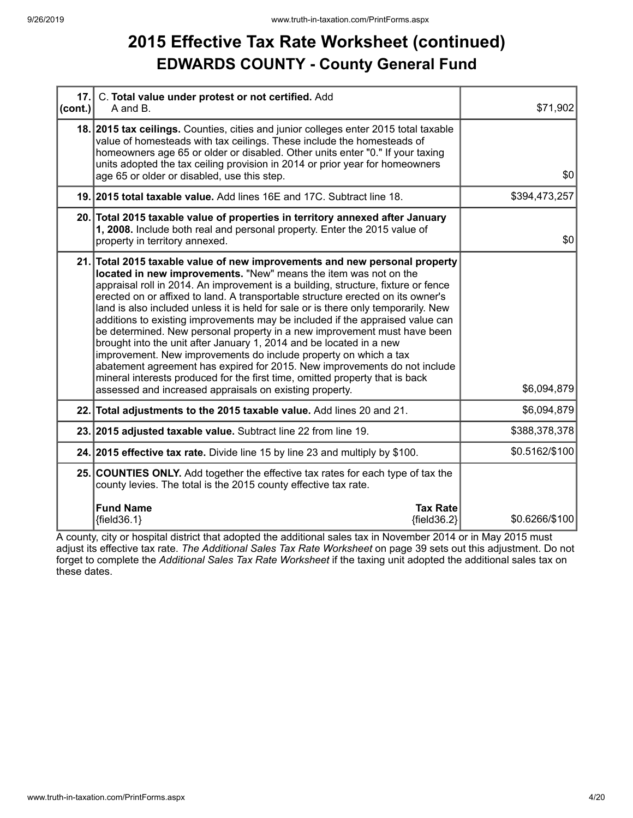### **2015 Effective Tax Rate Worksheet (continued) EDWARDS COUNTY - County General Fund**

| 17.<br>$ cont.$ ) | C. Total value under protest or not certified. Add<br>A and B.                                                                                                                                                                                                                                                                                                                                                                                                                                                                                                                                                                                                                                                                                                                                                                                                                                                                               | \$71,902       |
|-------------------|----------------------------------------------------------------------------------------------------------------------------------------------------------------------------------------------------------------------------------------------------------------------------------------------------------------------------------------------------------------------------------------------------------------------------------------------------------------------------------------------------------------------------------------------------------------------------------------------------------------------------------------------------------------------------------------------------------------------------------------------------------------------------------------------------------------------------------------------------------------------------------------------------------------------------------------------|----------------|
|                   | 18. 2015 tax ceilings. Counties, cities and junior colleges enter 2015 total taxable<br>value of homesteads with tax ceilings. These include the homesteads of<br>homeowners age 65 or older or disabled. Other units enter "0." If your taxing<br>units adopted the tax ceiling provision in 2014 or prior year for homeowners<br>age 65 or older or disabled, use this step.                                                                                                                                                                                                                                                                                                                                                                                                                                                                                                                                                               | \$0            |
|                   | 19. 2015 total taxable value. Add lines 16E and 17C. Subtract line 18.                                                                                                                                                                                                                                                                                                                                                                                                                                                                                                                                                                                                                                                                                                                                                                                                                                                                       | \$394,473,257  |
|                   | 20. Total 2015 taxable value of properties in territory annexed after January<br>1, 2008. Include both real and personal property. Enter the 2015 value of<br>property in territory annexed.                                                                                                                                                                                                                                                                                                                                                                                                                                                                                                                                                                                                                                                                                                                                                 | \$0            |
|                   | 21. Total 2015 taxable value of new improvements and new personal property<br>located in new improvements. "New" means the item was not on the<br>appraisal roll in 2014. An improvement is a building, structure, fixture or fence<br>erected on or affixed to land. A transportable structure erected on its owner's<br>land is also included unless it is held for sale or is there only temporarily. New<br>additions to existing improvements may be included if the appraised value can<br>be determined. New personal property in a new improvement must have been<br>brought into the unit after January 1, 2014 and be located in a new<br>improvement. New improvements do include property on which a tax<br>abatement agreement has expired for 2015. New improvements do not include<br>mineral interests produced for the first time, omitted property that is back<br>assessed and increased appraisals on existing property. | \$6,094,879    |
|                   | 22. Total adjustments to the 2015 taxable value. Add lines 20 and 21.                                                                                                                                                                                                                                                                                                                                                                                                                                                                                                                                                                                                                                                                                                                                                                                                                                                                        | \$6,094,879    |
|                   | 23. 2015 adjusted taxable value. Subtract line 22 from line 19.                                                                                                                                                                                                                                                                                                                                                                                                                                                                                                                                                                                                                                                                                                                                                                                                                                                                              | \$388,378,378  |
|                   | 24. 2015 effective tax rate. Divide line 15 by line 23 and multiply by \$100.                                                                                                                                                                                                                                                                                                                                                                                                                                                                                                                                                                                                                                                                                                                                                                                                                                                                | \$0.5162/\$100 |
|                   | 25. COUNTIES ONLY. Add together the effective tax rates for each type of tax the<br>county levies. The total is the 2015 county effective tax rate.                                                                                                                                                                                                                                                                                                                                                                                                                                                                                                                                                                                                                                                                                                                                                                                          |                |
|                   | <b>Fund Name</b><br><b>Tax Rate</b><br>${fields.1}$<br>${fields2}$                                                                                                                                                                                                                                                                                                                                                                                                                                                                                                                                                                                                                                                                                                                                                                                                                                                                           | \$0.6266/\$100 |

A county, city or hospital district that adopted the additional sales tax in November 2014 or in May 2015 must adjust its effective tax rate. *The Additional Sales Tax Rate Worksheet* on page 39 sets out this adjustment. Do not forget to complete the *Additional Sales Tax Rate Worksheet* if the taxing unit adopted the additional sales tax on these dates.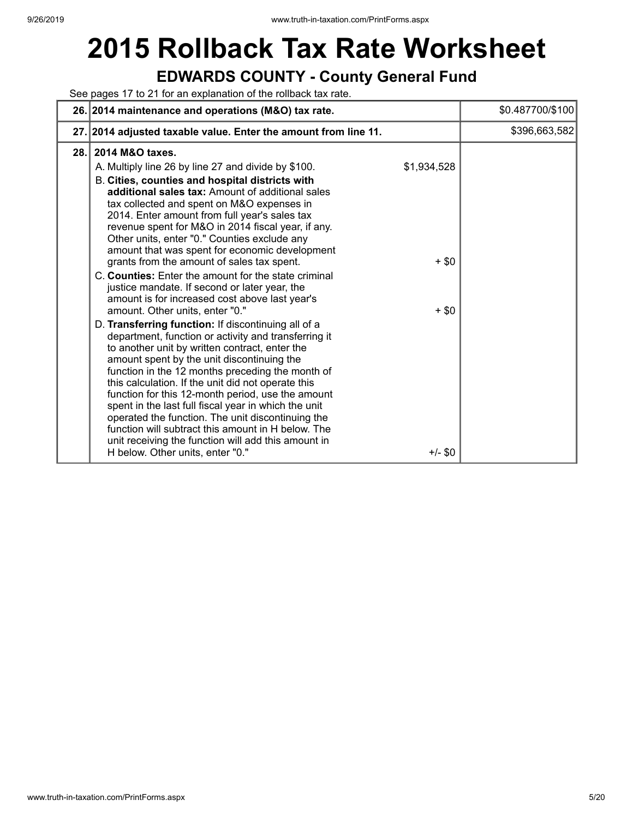# **2015 Rollback Tax Rate Worksheet**

### **EDWARDS COUNTY - County General Fund**

See pages 17 to 21 for an explanation of the rollback tax rate.

|      | 26. 2014 maintenance and operations (M&O) tax rate.                                                                                                                                                                                                                                                                                                                                                                                                                                                                                                                                                                                                                                                                                                                                                                                                                                                                                                                                                                                                                                                                                                                                                                                                                                                                                                                            | \$0.487700/\$100 |
|------|--------------------------------------------------------------------------------------------------------------------------------------------------------------------------------------------------------------------------------------------------------------------------------------------------------------------------------------------------------------------------------------------------------------------------------------------------------------------------------------------------------------------------------------------------------------------------------------------------------------------------------------------------------------------------------------------------------------------------------------------------------------------------------------------------------------------------------------------------------------------------------------------------------------------------------------------------------------------------------------------------------------------------------------------------------------------------------------------------------------------------------------------------------------------------------------------------------------------------------------------------------------------------------------------------------------------------------------------------------------------------------|------------------|
|      | 27. 2014 adjusted taxable value. Enter the amount from line 11.                                                                                                                                                                                                                                                                                                                                                                                                                                                                                                                                                                                                                                                                                                                                                                                                                                                                                                                                                                                                                                                                                                                                                                                                                                                                                                                | \$396,663,582    |
| 28.1 | 2014 M&O taxes.<br>\$1,934,528<br>A. Multiply line 26 by line 27 and divide by \$100.<br>B. Cities, counties and hospital districts with<br>additional sales tax: Amount of additional sales<br>tax collected and spent on M&O expenses in<br>2014. Enter amount from full year's sales tax<br>revenue spent for M&O in 2014 fiscal year, if any.<br>Other units, enter "0." Counties exclude any<br>amount that was spent for economic development<br>grants from the amount of sales tax spent.<br>$+$ \$0<br>C. Counties: Enter the amount for the state criminal<br>justice mandate. If second or later year, the<br>amount is for increased cost above last year's<br>amount. Other units, enter "0."<br>$+$ \$0<br>D. Transferring function: If discontinuing all of a<br>department, function or activity and transferring it<br>to another unit by written contract, enter the<br>amount spent by the unit discontinuing the<br>function in the 12 months preceding the month of<br>this calculation. If the unit did not operate this<br>function for this 12-month period, use the amount<br>spent in the last full fiscal year in which the unit<br>operated the function. The unit discontinuing the<br>function will subtract this amount in H below. The<br>unit receiving the function will add this amount in<br>H below. Other units, enter "0."<br>$+/-$ \$0 |                  |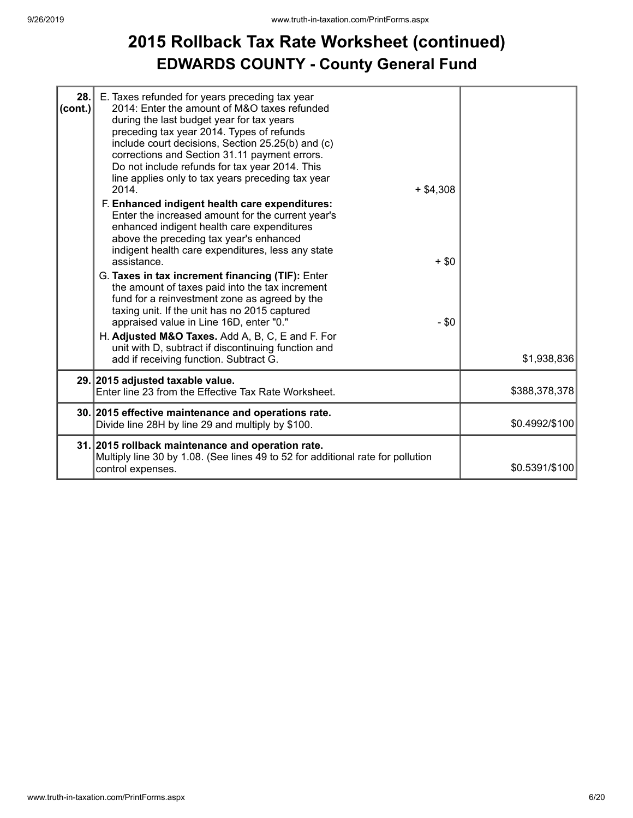### **2015 Rollback Tax Rate Worksheet (continued) EDWARDS COUNTY - County General Fund**

| 28.<br>$ $ (cont.) | E. Taxes refunded for years preceding tax year<br>2014: Enter the amount of M&O taxes refunded<br>during the last budget year for tax years<br>preceding tax year 2014. Types of refunds<br>include court decisions, Section 25.25(b) and (c)<br>corrections and Section 31.11 payment errors.<br>Do not include refunds for tax year 2014. This<br>line applies only to tax years preceding tax year<br>2014.<br>$+$ \$4,308<br>F. Enhanced indigent health care expenditures:<br>Enter the increased amount for the current year's<br>enhanced indigent health care expenditures<br>above the preceding tax year's enhanced<br>indigent health care expenditures, less any state<br>assistance.<br>G. Taxes in tax increment financing (TIF): Enter<br>the amount of taxes paid into the tax increment<br>fund for a reinvestment zone as agreed by the<br>taxing unit. If the unit has no 2015 captured<br>appraised value in Line 16D, enter "0."<br>H. Adjusted M&O Taxes. Add A, B, C, E and F. For | $+$ \$0<br>$-$ \$0 |                |
|--------------------|-----------------------------------------------------------------------------------------------------------------------------------------------------------------------------------------------------------------------------------------------------------------------------------------------------------------------------------------------------------------------------------------------------------------------------------------------------------------------------------------------------------------------------------------------------------------------------------------------------------------------------------------------------------------------------------------------------------------------------------------------------------------------------------------------------------------------------------------------------------------------------------------------------------------------------------------------------------------------------------------------------------|--------------------|----------------|
|                    | unit with D, subtract if discontinuing function and<br>add if receiving function. Subtract G.                                                                                                                                                                                                                                                                                                                                                                                                                                                                                                                                                                                                                                                                                                                                                                                                                                                                                                             |                    | \$1,938,836    |
|                    | 29. 2015 adjusted taxable value.<br>Enter line 23 from the Effective Tax Rate Worksheet.                                                                                                                                                                                                                                                                                                                                                                                                                                                                                                                                                                                                                                                                                                                                                                                                                                                                                                                  |                    | \$388,378,378  |
|                    | 30. 2015 effective maintenance and operations rate.<br>Divide line 28H by line 29 and multiply by \$100.                                                                                                                                                                                                                                                                                                                                                                                                                                                                                                                                                                                                                                                                                                                                                                                                                                                                                                  |                    | \$0.4992/\$100 |
|                    | 31. 2015 rollback maintenance and operation rate.<br>Multiply line 30 by 1.08. (See lines 49 to 52 for additional rate for pollution<br>control expenses.                                                                                                                                                                                                                                                                                                                                                                                                                                                                                                                                                                                                                                                                                                                                                                                                                                                 |                    | \$0.5391/\$100 |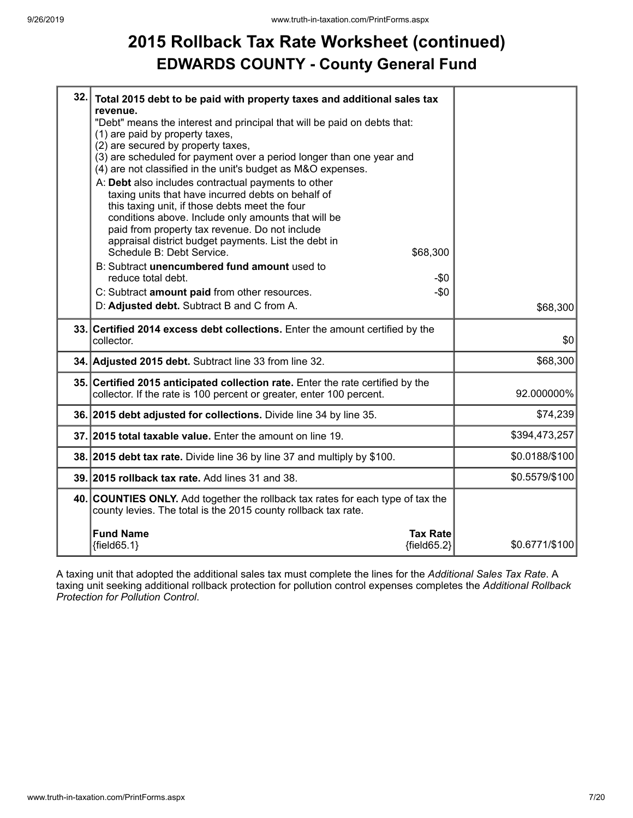## **2015 Rollback Tax Rate Worksheet (continued) EDWARDS COUNTY - County General Fund**

| 32. | Total 2015 debt to be paid with property taxes and additional sales tax<br>revenue.                                                                     |                |
|-----|---------------------------------------------------------------------------------------------------------------------------------------------------------|----------------|
|     | "Debt" means the interest and principal that will be paid on debts that:<br>(1) are paid by property taxes,                                             |                |
|     | (2) are secured by property taxes,                                                                                                                      |                |
|     | (3) are scheduled for payment over a period longer than one year and<br>(4) are not classified in the unit's budget as M&O expenses.                    |                |
|     | A: Debt also includes contractual payments to other                                                                                                     |                |
|     | taxing units that have incurred debts on behalf of<br>this taxing unit, if those debts meet the four                                                    |                |
|     | conditions above. Include only amounts that will be                                                                                                     |                |
|     | paid from property tax revenue. Do not include                                                                                                          |                |
|     | appraisal district budget payments. List the debt in<br>Schedule B: Debt Service.<br>\$68,300                                                           |                |
|     | B: Subtract unencumbered fund amount used to                                                                                                            |                |
|     | reduce total debt.<br>-\$0                                                                                                                              |                |
|     | $-$0$<br>C: Subtract amount paid from other resources.<br>D: Adjusted debt. Subtract B and C from A.                                                    |                |
|     |                                                                                                                                                         | \$68,300       |
|     |                                                                                                                                                         |                |
|     | 33. Certified 2014 excess debt collections. Enter the amount certified by the<br>collector.                                                             | \$0            |
|     | 34. Adjusted 2015 debt. Subtract line 33 from line 32.                                                                                                  | \$68,300       |
|     | 35. Certified 2015 anticipated collection rate. Enter the rate certified by the<br>collector. If the rate is 100 percent or greater, enter 100 percent. | 92.000000%     |
|     | 36. 2015 debt adjusted for collections. Divide line 34 by line 35.                                                                                      | \$74,239       |
|     | 37. 2015 total taxable value. Enter the amount on line 19.                                                                                              | \$394,473,257  |
|     | 38. 2015 debt tax rate. Divide line 36 by line 37 and multiply by \$100.                                                                                | \$0.0188/\$100 |
|     | 39. 2015 rollback tax rate. Add lines 31 and 38.                                                                                                        | \$0.5579/\$100 |
|     | 40. COUNTIES ONLY. Add together the rollback tax rates for each type of tax the<br>county levies. The total is the 2015 county rollback tax rate.       |                |
|     | <b>Fund Name</b><br><b>Tax Rate</b><br>${fields 5.1}$<br>${fields2}$                                                                                    | \$0.6771/\$100 |

A taxing unit that adopted the additional sales tax must complete the lines for the *Additional Sales Tax Rate*. A taxing unit seeking additional rollback protection for pollution control expenses completes the *Additional Rollback Protection for Pollution Control*.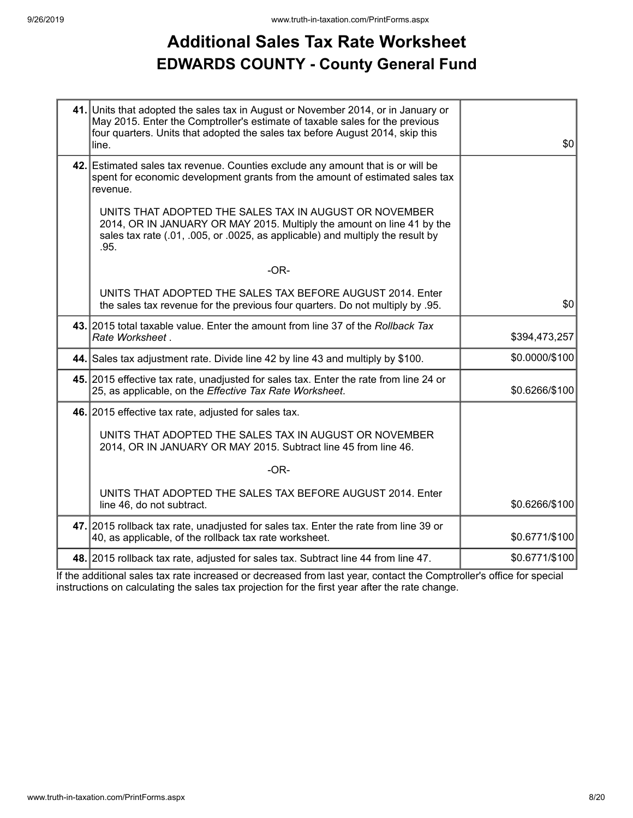### **Additional Sales Tax Rate Worksheet EDWARDS COUNTY - County General Fund**

| 41. Units that adopted the sales tax in August or November 2014, or in January or<br>May 2015. Enter the Comptroller's estimate of taxable sales for the previous<br>four quarters. Units that adopted the sales tax before August 2014, skip this<br>line. | \$0            |
|-------------------------------------------------------------------------------------------------------------------------------------------------------------------------------------------------------------------------------------------------------------|----------------|
| 42. Estimated sales tax revenue. Counties exclude any amount that is or will be<br>spent for economic development grants from the amount of estimated sales tax<br>revenue.                                                                                 |                |
| UNITS THAT ADOPTED THE SALES TAX IN AUGUST OR NOVEMBER<br>2014, OR IN JANUARY OR MAY 2015. Multiply the amount on line 41 by the<br>sales tax rate (.01, .005, or .0025, as applicable) and multiply the result by<br>.95.                                  |                |
| $-OR-$                                                                                                                                                                                                                                                      |                |
| UNITS THAT ADOPTED THE SALES TAX BEFORE AUGUST 2014. Enter<br>the sales tax revenue for the previous four quarters. Do not multiply by .95.                                                                                                                 | \$0            |
| 43. 2015 total taxable value. Enter the amount from line 37 of the Rollback Tax<br>Rate Worksheet.                                                                                                                                                          | \$394,473,257  |
| 44. Sales tax adjustment rate. Divide line 42 by line 43 and multiply by \$100.                                                                                                                                                                             | \$0.0000/\$100 |
| 45. 2015 effective tax rate, unadjusted for sales tax. Enter the rate from line 24 or<br>25, as applicable, on the Effective Tax Rate Worksheet.                                                                                                            | \$0.6266/\$100 |
| 46. 2015 effective tax rate, adjusted for sales tax.                                                                                                                                                                                                        |                |
| UNITS THAT ADOPTED THE SALES TAX IN AUGUST OR NOVEMBER<br>2014, OR IN JANUARY OR MAY 2015. Subtract line 45 from line 46.                                                                                                                                   |                |
| $-OR-$                                                                                                                                                                                                                                                      |                |
| UNITS THAT ADOPTED THE SALES TAX BEFORE AUGUST 2014. Enter<br>line 46, do not subtract.                                                                                                                                                                     | \$0.6266/\$100 |
| 47. 2015 rollback tax rate, unadjusted for sales tax. Enter the rate from line 39 or<br>40, as applicable, of the rollback tax rate worksheet.                                                                                                              | \$0.6771/\$100 |
| 48. 2015 rollback tax rate, adjusted for sales tax. Subtract line 44 from line 47.                                                                                                                                                                          | \$0.6771/\$100 |

If the additional sales tax rate increased or decreased from last year, contact the Comptroller's office for special instructions on calculating the sales tax projection for the first year after the rate change.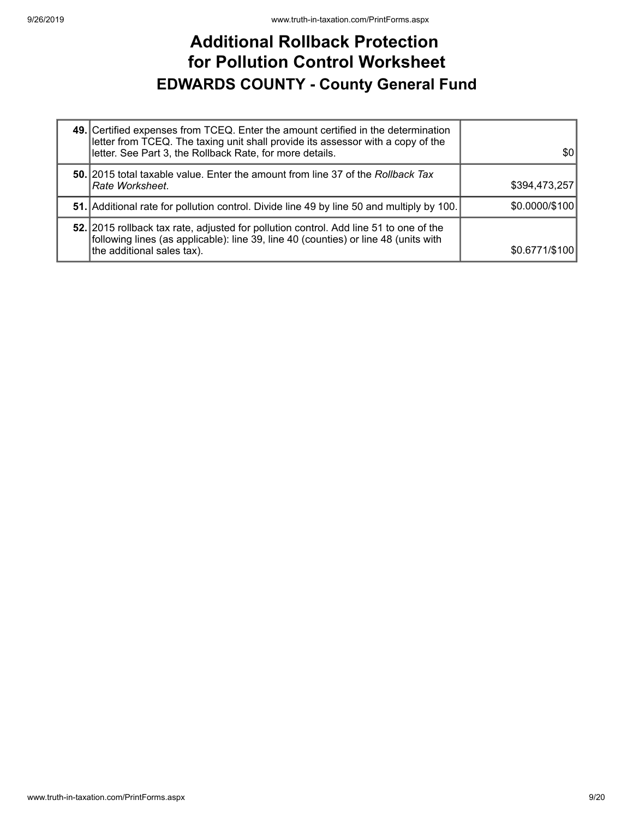### **Additional Rollback Protection for Pollution Control Worksheet EDWARDS COUNTY - County General Fund**

| 49. Certified expenses from TCEQ. Enter the amount certified in the determination<br>letter from TCEQ. The taxing unit shall provide its assessor with a copy of the<br>letter. See Part 3, the Rollback Rate, for more details. | 30             |
|----------------------------------------------------------------------------------------------------------------------------------------------------------------------------------------------------------------------------------|----------------|
| <b>50.</b> 2015 total taxable value. Enter the amount from line 37 of the Rollback Tax<br>Rate Worksheet.                                                                                                                        | \$394,473,257  |
| 51. Additional rate for pollution control. Divide line 49 by line 50 and multiply by 100.                                                                                                                                        | \$0.0000/\$100 |
| 52. 2015 rollback tax rate, adjusted for pollution control. Add line 51 to one of the<br>following lines (as applicable): line 39, line 40 (counties) or line 48 (units with<br>the additional sales tax).                       | \$0.6771/\$100 |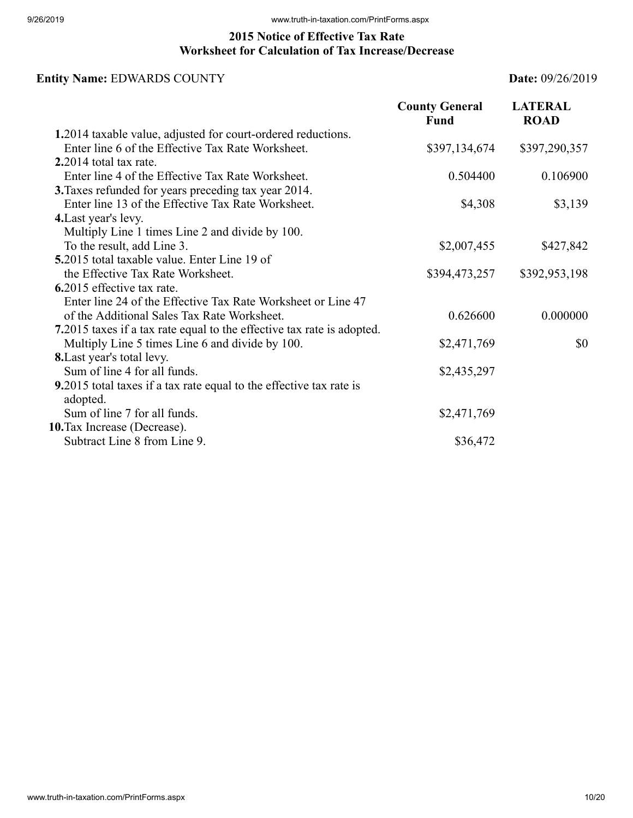#### **2015 Notice of Effective Tax Rate Worksheet for Calculation of Tax Increase/Decrease**

### **Entity Name:** EDWARDS COUNTY **Date:** 09/26/2019

|                                                                                 | <b>County General</b><br><b>Fund</b> | <b>LATERAL</b><br><b>ROAD</b> |
|---------------------------------------------------------------------------------|--------------------------------------|-------------------------------|
| 1.2014 taxable value, adjusted for court-ordered reductions.                    |                                      |                               |
| Enter line 6 of the Effective Tax Rate Worksheet.                               | \$397,134,674                        | \$397,290,357                 |
| $2.2014$ total tax rate.                                                        |                                      |                               |
| Enter line 4 of the Effective Tax Rate Worksheet.                               | 0.504400                             | 0.106900                      |
| 3. Taxes refunded for years preceding tax year 2014.                            |                                      |                               |
| Enter line 13 of the Effective Tax Rate Worksheet.                              | \$4,308                              | \$3,139                       |
| 4. Last year's levy.                                                            |                                      |                               |
| Multiply Line 1 times Line 2 and divide by 100.                                 |                                      |                               |
| To the result, add Line 3.                                                      | \$2,007,455                          | \$427,842                     |
| 5.2015 total taxable value. Enter Line 19 of                                    |                                      |                               |
| the Effective Tax Rate Worksheet.                                               | \$394,473,257                        | \$392,953,198                 |
| 6.2015 effective tax rate.                                                      |                                      |                               |
| Enter line 24 of the Effective Tax Rate Worksheet or Line 47                    |                                      |                               |
| of the Additional Sales Tax Rate Worksheet.                                     | 0.626600                             | 0.000000                      |
| 7.2015 taxes if a tax rate equal to the effective tax rate is adopted.          |                                      |                               |
| Multiply Line 5 times Line 6 and divide by 100.                                 | \$2,471,769                          | \$0                           |
| <b>8.</b> Last year's total levy.                                               |                                      |                               |
| Sum of line 4 for all funds.                                                    | \$2,435,297                          |                               |
| 9.2015 total taxes if a tax rate equal to the effective tax rate is<br>adopted. |                                      |                               |
| Sum of line 7 for all funds.                                                    | \$2,471,769                          |                               |
| 10. Tax Increase (Decrease).                                                    |                                      |                               |
| Subtract Line 8 from Line 9.                                                    | \$36,472                             |                               |
|                                                                                 |                                      |                               |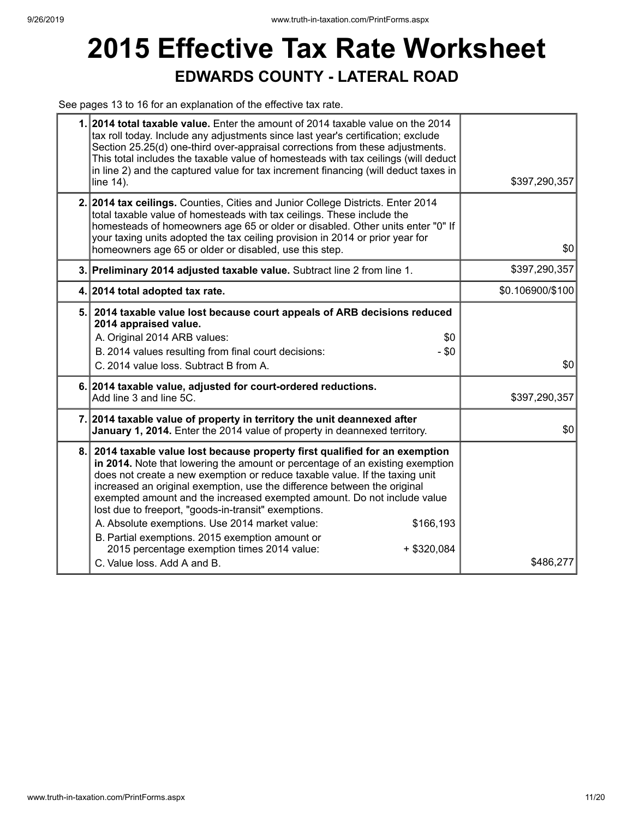## **2015 Effective Tax Rate Worksheet EDWARDS COUNTY - LATERAL ROAD**

See pages 13 to 16 for an explanation of the effective tax rate.

|     | 1. 2014 total taxable value. Enter the amount of 2014 taxable value on the 2014<br>tax roll today. Include any adjustments since last year's certification; exclude<br>Section 25.25(d) one-third over-appraisal corrections from these adjustments.<br>This total includes the taxable value of homesteads with tax ceilings (will deduct<br>in line 2) and the captured value for tax increment financing (will deduct taxes in<br>line 14).                                                                                                                                                                                                                            | \$397,290,357    |
|-----|---------------------------------------------------------------------------------------------------------------------------------------------------------------------------------------------------------------------------------------------------------------------------------------------------------------------------------------------------------------------------------------------------------------------------------------------------------------------------------------------------------------------------------------------------------------------------------------------------------------------------------------------------------------------------|------------------|
|     | 2. 2014 tax ceilings. Counties, Cities and Junior College Districts. Enter 2014<br>total taxable value of homesteads with tax ceilings. These include the<br>homesteads of homeowners age 65 or older or disabled. Other units enter "0" If<br>your taxing units adopted the tax ceiling provision in 2014 or prior year for<br>homeowners age 65 or older or disabled, use this step.                                                                                                                                                                                                                                                                                    | \$0              |
|     | 3. Preliminary 2014 adjusted taxable value. Subtract line 2 from line 1.                                                                                                                                                                                                                                                                                                                                                                                                                                                                                                                                                                                                  | \$397,290,357    |
|     | 4. 2014 total adopted tax rate.                                                                                                                                                                                                                                                                                                                                                                                                                                                                                                                                                                                                                                           | \$0.106900/\$100 |
|     | 5. 2014 taxable value lost because court appeals of ARB decisions reduced<br>2014 appraised value.<br>A. Original 2014 ARB values:<br>\$0<br>$-$ \$0<br>B. 2014 values resulting from final court decisions:<br>C. 2014 value loss. Subtract B from A.                                                                                                                                                                                                                                                                                                                                                                                                                    | \$0              |
|     | 6. 2014 taxable value, adjusted for court-ordered reductions.<br>Add line 3 and line 5C.                                                                                                                                                                                                                                                                                                                                                                                                                                                                                                                                                                                  | \$397,290,357    |
|     | 7. 2014 taxable value of property in territory the unit deannexed after<br>January 1, 2014. Enter the 2014 value of property in deannexed territory.                                                                                                                                                                                                                                                                                                                                                                                                                                                                                                                      | \$0              |
| 8.1 | 2014 taxable value lost because property first qualified for an exemption<br>in 2014. Note that lowering the amount or percentage of an existing exemption<br>does not create a new exemption or reduce taxable value. If the taxing unit<br>increased an original exemption, use the difference between the original<br>exempted amount and the increased exempted amount. Do not include value<br>lost due to freeport, "goods-in-transit" exemptions.<br>A. Absolute exemptions. Use 2014 market value:<br>\$166,193<br>B. Partial exemptions. 2015 exemption amount or<br>2015 percentage exemption times 2014 value:<br>$+$ \$320,084<br>C. Value loss, Add A and B. | \$486,277        |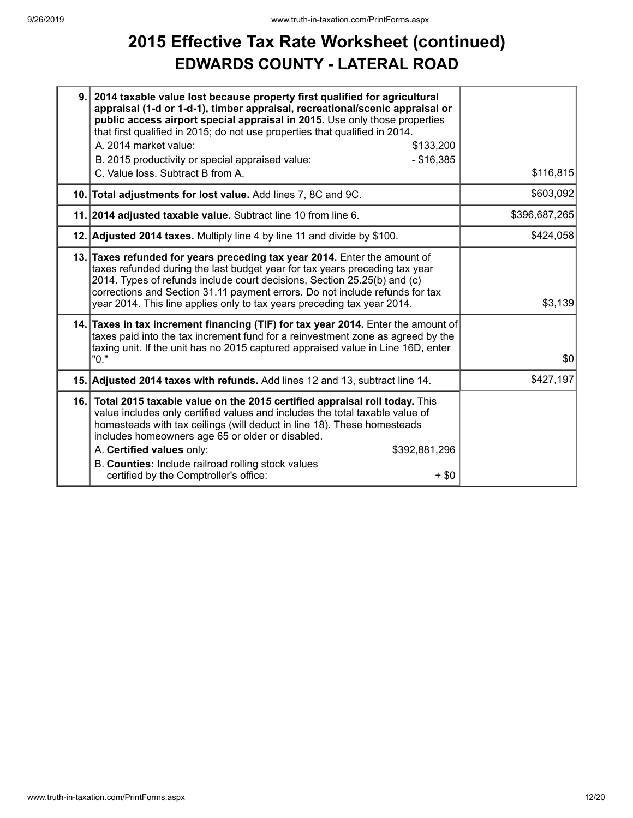### **2015 Effective Tax Rate Worksheet (continued) EDWARDS COUNTY - LATERAL ROAD**

| 9.   | 2014 taxable value lost because property first qualified for agricultural<br>appraisal (1-d or 1-d-1), timber appraisal, recreational/scenic appraisal or<br>public access airport special appraisal in 2015. Use only those properties<br>that first qualified in 2015; do not use properties that qualified in 2014.<br>A. 2014 market value:<br>\$133,200                                                                                      |               |
|------|---------------------------------------------------------------------------------------------------------------------------------------------------------------------------------------------------------------------------------------------------------------------------------------------------------------------------------------------------------------------------------------------------------------------------------------------------|---------------|
|      | $- $16,385$<br>B. 2015 productivity or special appraised value:<br>C. Value loss. Subtract B from A.                                                                                                                                                                                                                                                                                                                                              | \$116,815     |
|      | 10. Total adjustments for lost value. Add lines 7, 8C and 9C.                                                                                                                                                                                                                                                                                                                                                                                     | \$603,092     |
|      | 11. 2014 adjusted taxable value. Subtract line 10 from line 6.                                                                                                                                                                                                                                                                                                                                                                                    | \$396,687,265 |
|      | 12. Adjusted 2014 taxes. Multiply line 4 by line 11 and divide by \$100.                                                                                                                                                                                                                                                                                                                                                                          | \$424,058     |
|      | 13. Taxes refunded for years preceding tax year 2014. Enter the amount of<br>taxes refunded during the last budget year for tax years preceding tax year<br>2014. Types of refunds include court decisions, Section 25.25(b) and (c)<br>corrections and Section 31.11 payment errors. Do not include refunds for tax<br>year 2014. This line applies only to tax years preceding tax year 2014.                                                   | \$3,139       |
|      | 14. Taxes in tax increment financing (TIF) for tax year 2014. Enter the amount of<br>taxes paid into the tax increment fund for a reinvestment zone as agreed by the<br>taxing unit. If the unit has no 2015 captured appraised value in Line 16D, enter<br>"0."                                                                                                                                                                                  | \$0           |
|      | 15. Adjusted 2014 taxes with refunds. Add lines 12 and 13, subtract line 14.                                                                                                                                                                                                                                                                                                                                                                      | \$427,197     |
| 16.1 | Total 2015 taxable value on the 2015 certified appraisal roll today. This<br>value includes only certified values and includes the total taxable value of<br>homesteads with tax ceilings (will deduct in line 18). These homesteads<br>includes homeowners age 65 or older or disabled.<br>A. Certified values only:<br>\$392,881,296<br>B. Counties: Include railroad rolling stock values<br>certified by the Comptroller's office:<br>$+$ \$0 |               |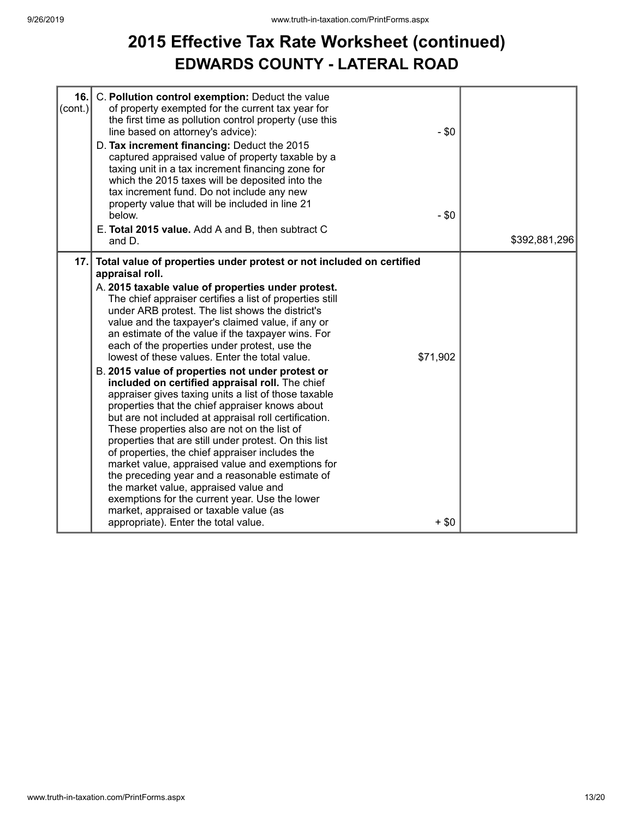## **2015 Effective Tax Rate Worksheet (continued) EDWARDS COUNTY - LATERAL ROAD**

| 16.<br>$\left($ cont.) | C. Pollution control exemption: Deduct the value<br>of property exempted for the current tax year for<br>the first time as pollution control property (use this<br>line based on attorney's advice):<br>D. Tax increment financing: Deduct the 2015<br>captured appraised value of property taxable by a<br>taxing unit in a tax increment financing zone for<br>which the 2015 taxes will be deposited into the<br>tax increment fund. Do not include any new<br>property value that will be included in line 21<br>below.<br>E. Total 2015 value. Add A and B, then subtract C<br>and D.                                                                                                                                                                                                                                                                                                                                                                                                                                                                                                                                                                                                                 | $-$ \$0<br>$-$ \$0  | \$392,881,296 |
|------------------------|------------------------------------------------------------------------------------------------------------------------------------------------------------------------------------------------------------------------------------------------------------------------------------------------------------------------------------------------------------------------------------------------------------------------------------------------------------------------------------------------------------------------------------------------------------------------------------------------------------------------------------------------------------------------------------------------------------------------------------------------------------------------------------------------------------------------------------------------------------------------------------------------------------------------------------------------------------------------------------------------------------------------------------------------------------------------------------------------------------------------------------------------------------------------------------------------------------|---------------------|---------------|
|                        | 17. Total value of properties under protest or not included on certified<br>appraisal roll.<br>A. 2015 taxable value of properties under protest.<br>The chief appraiser certifies a list of properties still<br>under ARB protest. The list shows the district's<br>value and the taxpayer's claimed value, if any or<br>an estimate of the value if the taxpayer wins. For<br>each of the properties under protest, use the<br>lowest of these values. Enter the total value.<br>B. 2015 value of properties not under protest or<br>included on certified appraisal roll. The chief<br>appraiser gives taxing units a list of those taxable<br>properties that the chief appraiser knows about<br>but are not included at appraisal roll certification.<br>These properties also are not on the list of<br>properties that are still under protest. On this list<br>of properties, the chief appraiser includes the<br>market value, appraised value and exemptions for<br>the preceding year and a reasonable estimate of<br>the market value, appraised value and<br>exemptions for the current year. Use the lower<br>market, appraised or taxable value (as<br>appropriate). Enter the total value. | \$71,902<br>$+$ \$0 |               |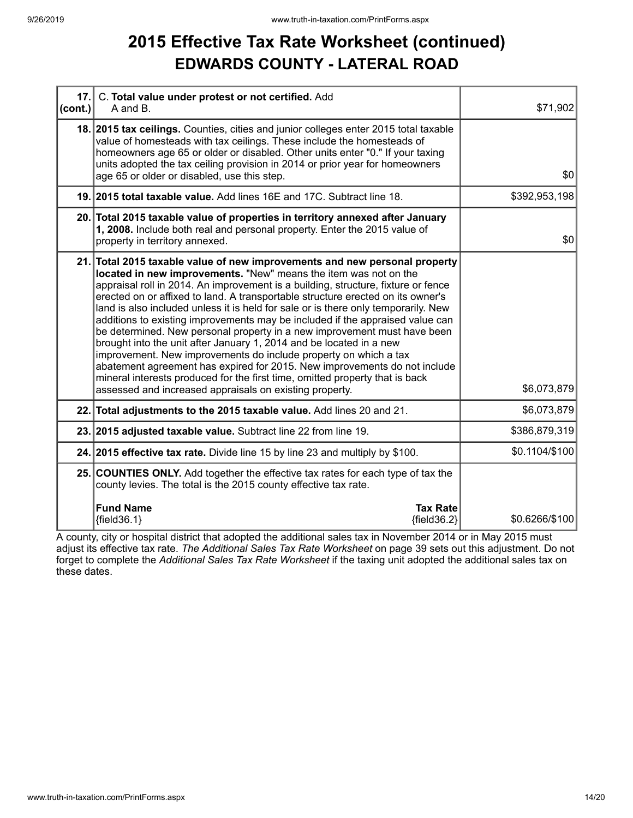### **2015 Effective Tax Rate Worksheet (continued) EDWARDS COUNTY - LATERAL ROAD**

| 17.<br> cont. | C. Total value under protest or not certified. Add<br>A and B.                                                                                                                                                                                                                                                                                                                                                                                                                                                                                                                                                                                                                                                                                                                                                                                                                                                                               | \$71,902       |
|---------------|----------------------------------------------------------------------------------------------------------------------------------------------------------------------------------------------------------------------------------------------------------------------------------------------------------------------------------------------------------------------------------------------------------------------------------------------------------------------------------------------------------------------------------------------------------------------------------------------------------------------------------------------------------------------------------------------------------------------------------------------------------------------------------------------------------------------------------------------------------------------------------------------------------------------------------------------|----------------|
|               | 18. 2015 tax ceilings. Counties, cities and junior colleges enter 2015 total taxable<br>value of homesteads with tax ceilings. These include the homesteads of<br>homeowners age 65 or older or disabled. Other units enter "0." If your taxing<br>units adopted the tax ceiling provision in 2014 or prior year for homeowners<br>age 65 or older or disabled, use this step.                                                                                                                                                                                                                                                                                                                                                                                                                                                                                                                                                               | \$0            |
|               | 19. 2015 total taxable value. Add lines 16E and 17C. Subtract line 18.                                                                                                                                                                                                                                                                                                                                                                                                                                                                                                                                                                                                                                                                                                                                                                                                                                                                       | \$392,953,198  |
|               | 20. Total 2015 taxable value of properties in territory annexed after January<br>1, 2008. Include both real and personal property. Enter the 2015 value of<br>property in territory annexed.                                                                                                                                                                                                                                                                                                                                                                                                                                                                                                                                                                                                                                                                                                                                                 | \$0            |
|               | 21. Total 2015 taxable value of new improvements and new personal property<br>located in new improvements. "New" means the item was not on the<br>appraisal roll in 2014. An improvement is a building, structure, fixture or fence<br>erected on or affixed to land. A transportable structure erected on its owner's<br>land is also included unless it is held for sale or is there only temporarily. New<br>additions to existing improvements may be included if the appraised value can<br>be determined. New personal property in a new improvement must have been<br>brought into the unit after January 1, 2014 and be located in a new<br>improvement. New improvements do include property on which a tax<br>abatement agreement has expired for 2015. New improvements do not include<br>mineral interests produced for the first time, omitted property that is back<br>assessed and increased appraisals on existing property. | \$6,073,879    |
|               | 22. Total adjustments to the 2015 taxable value. Add lines 20 and 21.                                                                                                                                                                                                                                                                                                                                                                                                                                                                                                                                                                                                                                                                                                                                                                                                                                                                        | \$6,073,879    |
|               | 23. 2015 adjusted taxable value. Subtract line 22 from line 19.                                                                                                                                                                                                                                                                                                                                                                                                                                                                                                                                                                                                                                                                                                                                                                                                                                                                              | \$386,879,319  |
|               | 24. 2015 effective tax rate. Divide line 15 by line 23 and multiply by \$100.                                                                                                                                                                                                                                                                                                                                                                                                                                                                                                                                                                                                                                                                                                                                                                                                                                                                | \$0.1104/\$100 |
|               | 25. COUNTIES ONLY. Add together the effective tax rates for each type of tax the<br>county levies. The total is the 2015 county effective tax rate.                                                                                                                                                                                                                                                                                                                                                                                                                                                                                                                                                                                                                                                                                                                                                                                          |                |
|               | <b>Fund Name</b><br><b>Tax Rate</b><br>${fields.1}$<br>${fields2}$                                                                                                                                                                                                                                                                                                                                                                                                                                                                                                                                                                                                                                                                                                                                                                                                                                                                           | \$0.6266/\$100 |

A county, city or hospital district that adopted the additional sales tax in November 2014 or in May 2015 must adjust its effective tax rate. *The Additional Sales Tax Rate Worksheet* on page 39 sets out this adjustment. Do not forget to complete the *Additional Sales Tax Rate Worksheet* if the taxing unit adopted the additional sales tax on these dates.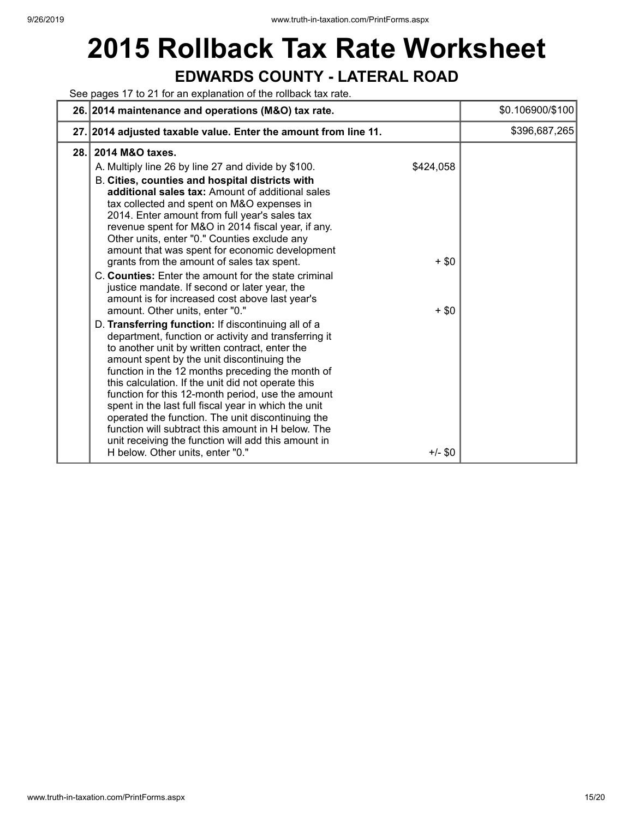## **2015 Rollback Tax Rate Worksheet EDWARDS COUNTY - LATERAL ROAD**

See pages 17 to 21 for an explanation of the rollback tax rate.

|      | 26. 2014 maintenance and operations (M&O) tax rate.                                                                                                                                                                                                                                                                                                                                                                                                                                                                                                                                                                                                                                                                                                                                                                                                                                                                                                                                                                                                                                                                                                                                                                                                                                                   | \$0.106900/\$100   |
|------|-------------------------------------------------------------------------------------------------------------------------------------------------------------------------------------------------------------------------------------------------------------------------------------------------------------------------------------------------------------------------------------------------------------------------------------------------------------------------------------------------------------------------------------------------------------------------------------------------------------------------------------------------------------------------------------------------------------------------------------------------------------------------------------------------------------------------------------------------------------------------------------------------------------------------------------------------------------------------------------------------------------------------------------------------------------------------------------------------------------------------------------------------------------------------------------------------------------------------------------------------------------------------------------------------------|--------------------|
|      | 27. 2014 adjusted taxable value. Enter the amount from line 11.                                                                                                                                                                                                                                                                                                                                                                                                                                                                                                                                                                                                                                                                                                                                                                                                                                                                                                                                                                                                                                                                                                                                                                                                                                       | \$396,687,265      |
| 28.1 | 2014 M&O taxes.<br>\$424,058<br>A. Multiply line 26 by line 27 and divide by \$100.<br>B. Cities, counties and hospital districts with<br>additional sales tax: Amount of additional sales<br>tax collected and spent on M&O expenses in<br>2014. Enter amount from full year's sales tax<br>revenue spent for M&O in 2014 fiscal year, if any.<br>Other units, enter "0." Counties exclude any<br>amount that was spent for economic development<br>grants from the amount of sales tax spent.<br>C. Counties: Enter the amount for the state criminal<br>justice mandate. If second or later year, the<br>amount is for increased cost above last year's<br>amount. Other units, enter "0."<br>D. Transferring function: If discontinuing all of a<br>department, function or activity and transferring it<br>to another unit by written contract, enter the<br>amount spent by the unit discontinuing the<br>function in the 12 months preceding the month of<br>this calculation. If the unit did not operate this<br>function for this 12-month period, use the amount<br>spent in the last full fiscal year in which the unit<br>operated the function. The unit discontinuing the<br>function will subtract this amount in H below. The<br>unit receiving the function will add this amount in | $+$ \$0<br>$+$ \$0 |
|      | H below. Other units, enter "0."<br>$+/-$ \$0                                                                                                                                                                                                                                                                                                                                                                                                                                                                                                                                                                                                                                                                                                                                                                                                                                                                                                                                                                                                                                                                                                                                                                                                                                                         |                    |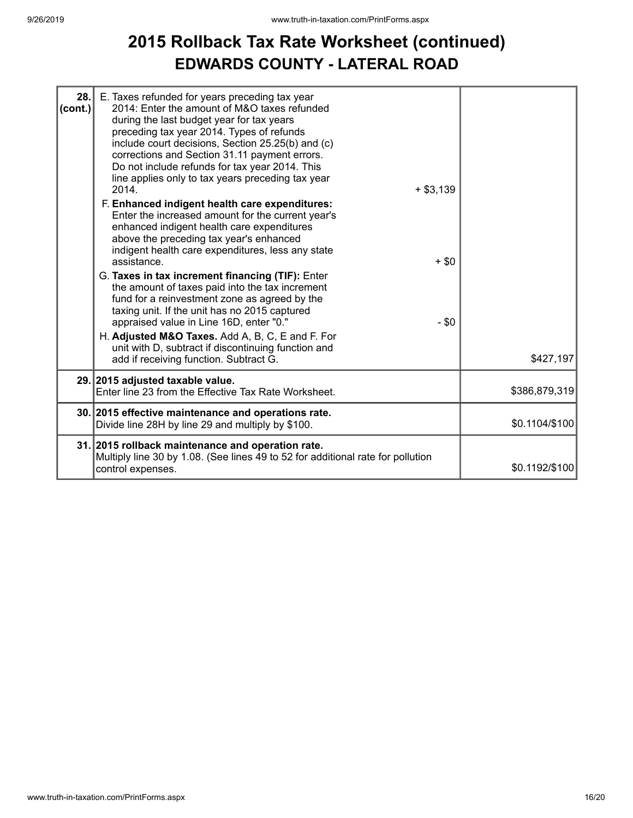### **2015 Rollback Tax Rate Worksheet (continued) EDWARDS COUNTY - LATERAL ROAD**

| 28.<br>(cont.) | E. Taxes refunded for years preceding tax year<br>2014: Enter the amount of M&O taxes refunded<br>during the last budget year for tax years<br>preceding tax year 2014. Types of refunds<br>include court decisions, Section 25.25(b) and (c)<br>corrections and Section 31.11 payment errors.<br>Do not include refunds for tax year 2014. This<br>line applies only to tax years preceding tax year<br>$+ $3,139$<br>2014.<br>F. Enhanced indigent health care expenditures:<br>Enter the increased amount for the current year's<br>enhanced indigent health care expenditures<br>above the preceding tax year's enhanced<br>indigent health care expenditures, less any state<br>assistance.<br>G. Taxes in tax increment financing (TIF): Enter | $+$ \$0 |                |
|----------------|------------------------------------------------------------------------------------------------------------------------------------------------------------------------------------------------------------------------------------------------------------------------------------------------------------------------------------------------------------------------------------------------------------------------------------------------------------------------------------------------------------------------------------------------------------------------------------------------------------------------------------------------------------------------------------------------------------------------------------------------------|---------|----------------|
|                | the amount of taxes paid into the tax increment<br>fund for a reinvestment zone as agreed by the<br>taxing unit. If the unit has no 2015 captured<br>appraised value in Line 16D, enter "0."<br>H. Adjusted M&O Taxes. Add A, B, C, E and F. For<br>unit with D, subtract if discontinuing function and<br>add if receiving function. Subtract G.                                                                                                                                                                                                                                                                                                                                                                                                    | $-$ \$0 | \$427,197      |
|                | 29. 2015 adjusted taxable value.<br>Enter line 23 from the Effective Tax Rate Worksheet.                                                                                                                                                                                                                                                                                                                                                                                                                                                                                                                                                                                                                                                             |         | \$386,879,319  |
|                | 30. 2015 effective maintenance and operations rate.<br>Divide line 28H by line 29 and multiply by \$100.                                                                                                                                                                                                                                                                                                                                                                                                                                                                                                                                                                                                                                             |         | \$0.1104/\$100 |
|                | 31. 2015 rollback maintenance and operation rate.<br>Multiply line 30 by 1.08. (See lines 49 to 52 for additional rate for pollution<br>control expenses.                                                                                                                                                                                                                                                                                                                                                                                                                                                                                                                                                                                            |         | \$0.1192/\$100 |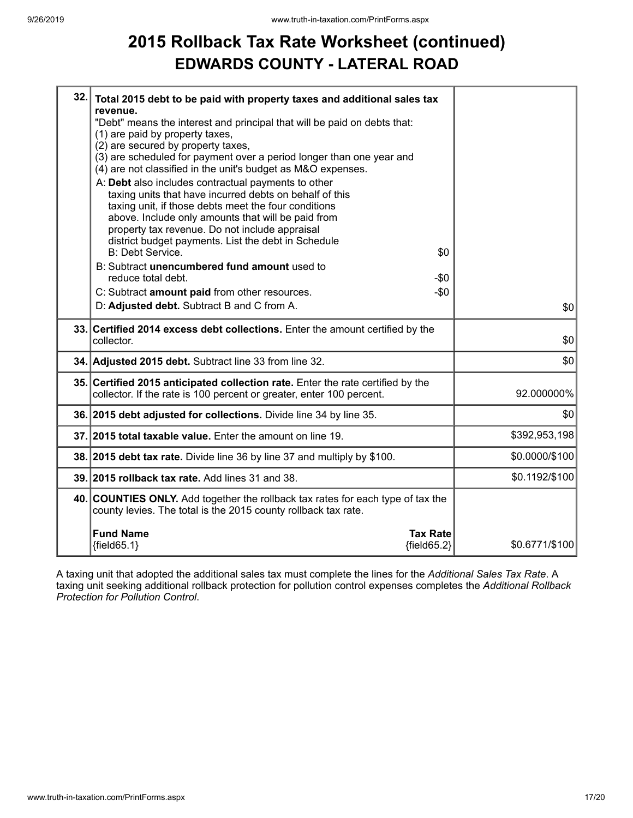### **2015 Rollback Tax Rate Worksheet (continued) EDWARDS COUNTY - LATERAL ROAD**

| Total 2015 debt to be paid with property taxes and additional sales tax |                                                                                                                                                                                                                                                                                                                                                                                                                                                                                                                                                                                                                                                                                                                                                                                                                                                                                                                                                                                                                                                                                                                                                                                                                                                                                                                  |
|-------------------------------------------------------------------------|------------------------------------------------------------------------------------------------------------------------------------------------------------------------------------------------------------------------------------------------------------------------------------------------------------------------------------------------------------------------------------------------------------------------------------------------------------------------------------------------------------------------------------------------------------------------------------------------------------------------------------------------------------------------------------------------------------------------------------------------------------------------------------------------------------------------------------------------------------------------------------------------------------------------------------------------------------------------------------------------------------------------------------------------------------------------------------------------------------------------------------------------------------------------------------------------------------------------------------------------------------------------------------------------------------------|
|                                                                         |                                                                                                                                                                                                                                                                                                                                                                                                                                                                                                                                                                                                                                                                                                                                                                                                                                                                                                                                                                                                                                                                                                                                                                                                                                                                                                                  |
| (1) are paid by property taxes,                                         |                                                                                                                                                                                                                                                                                                                                                                                                                                                                                                                                                                                                                                                                                                                                                                                                                                                                                                                                                                                                                                                                                                                                                                                                                                                                                                                  |
|                                                                         |                                                                                                                                                                                                                                                                                                                                                                                                                                                                                                                                                                                                                                                                                                                                                                                                                                                                                                                                                                                                                                                                                                                                                                                                                                                                                                                  |
|                                                                         |                                                                                                                                                                                                                                                                                                                                                                                                                                                                                                                                                                                                                                                                                                                                                                                                                                                                                                                                                                                                                                                                                                                                                                                                                                                                                                                  |
|                                                                         |                                                                                                                                                                                                                                                                                                                                                                                                                                                                                                                                                                                                                                                                                                                                                                                                                                                                                                                                                                                                                                                                                                                                                                                                                                                                                                                  |
|                                                                         |                                                                                                                                                                                                                                                                                                                                                                                                                                                                                                                                                                                                                                                                                                                                                                                                                                                                                                                                                                                                                                                                                                                                                                                                                                                                                                                  |
| taxing unit, if those debts meet the four conditions                    |                                                                                                                                                                                                                                                                                                                                                                                                                                                                                                                                                                                                                                                                                                                                                                                                                                                                                                                                                                                                                                                                                                                                                                                                                                                                                                                  |
| above. Include only amounts that will be paid from                      |                                                                                                                                                                                                                                                                                                                                                                                                                                                                                                                                                                                                                                                                                                                                                                                                                                                                                                                                                                                                                                                                                                                                                                                                                                                                                                                  |
|                                                                         |                                                                                                                                                                                                                                                                                                                                                                                                                                                                                                                                                                                                                                                                                                                                                                                                                                                                                                                                                                                                                                                                                                                                                                                                                                                                                                                  |
|                                                                         |                                                                                                                                                                                                                                                                                                                                                                                                                                                                                                                                                                                                                                                                                                                                                                                                                                                                                                                                                                                                                                                                                                                                                                                                                                                                                                                  |
|                                                                         |                                                                                                                                                                                                                                                                                                                                                                                                                                                                                                                                                                                                                                                                                                                                                                                                                                                                                                                                                                                                                                                                                                                                                                                                                                                                                                                  |
| reduce total debt.<br>-\$0                                              |                                                                                                                                                                                                                                                                                                                                                                                                                                                                                                                                                                                                                                                                                                                                                                                                                                                                                                                                                                                                                                                                                                                                                                                                                                                                                                                  |
| $-$0$<br>C: Subtract amount paid from other resources.                  |                                                                                                                                                                                                                                                                                                                                                                                                                                                                                                                                                                                                                                                                                                                                                                                                                                                                                                                                                                                                                                                                                                                                                                                                                                                                                                                  |
| D: Adjusted debt. Subtract B and C from A.                              | \$0                                                                                                                                                                                                                                                                                                                                                                                                                                                                                                                                                                                                                                                                                                                                                                                                                                                                                                                                                                                                                                                                                                                                                                                                                                                                                                              |
|                                                                         | \$0                                                                                                                                                                                                                                                                                                                                                                                                                                                                                                                                                                                                                                                                                                                                                                                                                                                                                                                                                                                                                                                                                                                                                                                                                                                                                                              |
|                                                                         |                                                                                                                                                                                                                                                                                                                                                                                                                                                                                                                                                                                                                                                                                                                                                                                                                                                                                                                                                                                                                                                                                                                                                                                                                                                                                                                  |
|                                                                         | \$0                                                                                                                                                                                                                                                                                                                                                                                                                                                                                                                                                                                                                                                                                                                                                                                                                                                                                                                                                                                                                                                                                                                                                                                                                                                                                                              |
|                                                                         | 92.000000%                                                                                                                                                                                                                                                                                                                                                                                                                                                                                                                                                                                                                                                                                                                                                                                                                                                                                                                                                                                                                                                                                                                                                                                                                                                                                                       |
|                                                                         |                                                                                                                                                                                                                                                                                                                                                                                                                                                                                                                                                                                                                                                                                                                                                                                                                                                                                                                                                                                                                                                                                                                                                                                                                                                                                                                  |
|                                                                         | \$0                                                                                                                                                                                                                                                                                                                                                                                                                                                                                                                                                                                                                                                                                                                                                                                                                                                                                                                                                                                                                                                                                                                                                                                                                                                                                                              |
|                                                                         | \$392,953,198                                                                                                                                                                                                                                                                                                                                                                                                                                                                                                                                                                                                                                                                                                                                                                                                                                                                                                                                                                                                                                                                                                                                                                                                                                                                                                    |
|                                                                         | \$0.0000/\$100                                                                                                                                                                                                                                                                                                                                                                                                                                                                                                                                                                                                                                                                                                                                                                                                                                                                                                                                                                                                                                                                                                                                                                                                                                                                                                   |
|                                                                         | \$0.1192/\$100                                                                                                                                                                                                                                                                                                                                                                                                                                                                                                                                                                                                                                                                                                                                                                                                                                                                                                                                                                                                                                                                                                                                                                                                                                                                                                   |
| county levies. The total is the 2015 county rollback tax rate.          |                                                                                                                                                                                                                                                                                                                                                                                                                                                                                                                                                                                                                                                                                                                                                                                                                                                                                                                                                                                                                                                                                                                                                                                                                                                                                                                  |
|                                                                         |                                                                                                                                                                                                                                                                                                                                                                                                                                                                                                                                                                                                                                                                                                                                                                                                                                                                                                                                                                                                                                                                                                                                                                                                                                                                                                                  |
| ${fields 5.1}$                                                          | \$0.6771/\$100                                                                                                                                                                                                                                                                                                                                                                                                                                                                                                                                                                                                                                                                                                                                                                                                                                                                                                                                                                                                                                                                                                                                                                                                                                                                                                   |
|                                                                         | 32.<br>revenue.<br>"Debt" means the interest and principal that will be paid on debts that:<br>(2) are secured by property taxes,<br>(3) are scheduled for payment over a period longer than one year and<br>(4) are not classified in the unit's budget as M&O expenses.<br>A: Debt also includes contractual payments to other<br>taxing units that have incurred debts on behalf of this<br>property tax revenue. Do not include appraisal<br>district budget payments. List the debt in Schedule<br>B: Debt Service.<br>\$0<br>B: Subtract unencumbered fund amount used to<br>33. Certified 2014 excess debt collections. Enter the amount certified by the<br>collector.<br>34. Adjusted 2015 debt. Subtract line 33 from line 32.<br>35. Certified 2015 anticipated collection rate. Enter the rate certified by the<br>collector. If the rate is 100 percent or greater, enter 100 percent.<br>36. 2015 debt adjusted for collections. Divide line 34 by line 35.<br>37. 2015 total taxable value. Enter the amount on line 19.<br>38. 2015 debt tax rate. Divide line 36 by line 37 and multiply by \$100.<br>39. 2015 rollback tax rate. Add lines 31 and 38.<br>40. COUNTIES ONLY. Add together the rollback tax rates for each type of tax the<br><b>Fund Name</b><br><b>Tax Rate</b><br>${fields2}$ |

A taxing unit that adopted the additional sales tax must complete the lines for the *Additional Sales Tax Rate*. A taxing unit seeking additional rollback protection for pollution control expenses completes the *Additional Rollback Protection for Pollution Control*.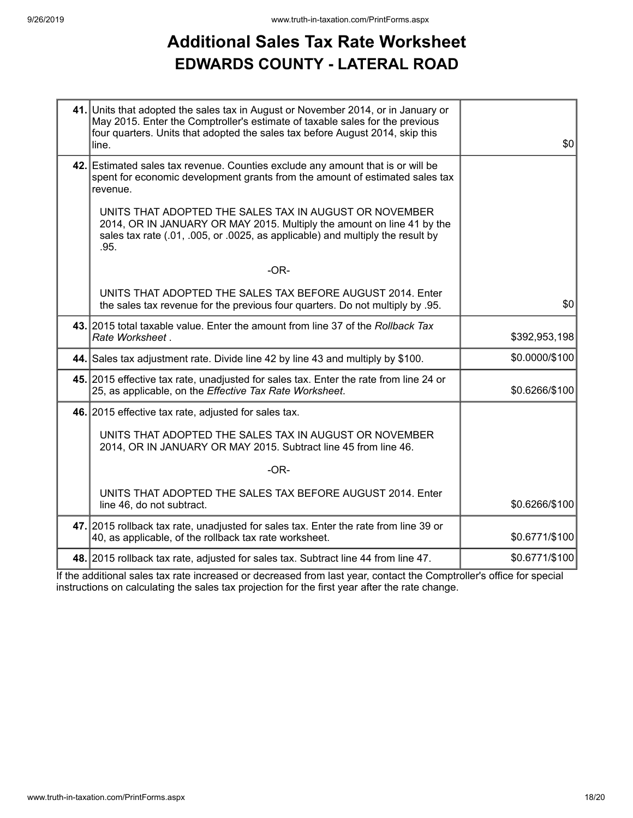## **Additional Sales Tax Rate Worksheet EDWARDS COUNTY - LATERAL ROAD**

| 41. Units that adopted the sales tax in August or November 2014, or in January or<br>May 2015. Enter the Comptroller's estimate of taxable sales for the previous<br>four quarters. Units that adopted the sales tax before August 2014, skip this<br>line. | \$0            |
|-------------------------------------------------------------------------------------------------------------------------------------------------------------------------------------------------------------------------------------------------------------|----------------|
| 42. Estimated sales tax revenue. Counties exclude any amount that is or will be<br>spent for economic development grants from the amount of estimated sales tax<br>revenue.                                                                                 |                |
| UNITS THAT ADOPTED THE SALES TAX IN AUGUST OR NOVEMBER<br>2014, OR IN JANUARY OR MAY 2015. Multiply the amount on line 41 by the<br>sales tax rate (.01, .005, or .0025, as applicable) and multiply the result by<br>.95.                                  |                |
| $-OR-$                                                                                                                                                                                                                                                      |                |
| UNITS THAT ADOPTED THE SALES TAX BEFORE AUGUST 2014. Enter<br>the sales tax revenue for the previous four quarters. Do not multiply by .95.                                                                                                                 | \$0            |
| 43. 2015 total taxable value. Enter the amount from line 37 of the Rollback Tax<br>Rate Worksheet.                                                                                                                                                          | \$392,953,198  |
| 44. Sales tax adjustment rate. Divide line 42 by line 43 and multiply by \$100.                                                                                                                                                                             | \$0.0000/\$100 |
| 45. 2015 effective tax rate, unadjusted for sales tax. Enter the rate from line 24 or<br>25, as applicable, on the Effective Tax Rate Worksheet.                                                                                                            | \$0.6266/\$100 |
| 46. 2015 effective tax rate, adjusted for sales tax.                                                                                                                                                                                                        |                |
| UNITS THAT ADOPTED THE SALES TAX IN AUGUST OR NOVEMBER<br>2014, OR IN JANUARY OR MAY 2015. Subtract line 45 from line 46.                                                                                                                                   |                |
| $-OR-$                                                                                                                                                                                                                                                      |                |
| UNITS THAT ADOPTED THE SALES TAX BEFORE AUGUST 2014. Enter<br>line 46, do not subtract.                                                                                                                                                                     | \$0.6266/\$100 |
| 47. 2015 rollback tax rate, unadjusted for sales tax. Enter the rate from line 39 or<br>40, as applicable, of the rollback tax rate worksheet.                                                                                                              | \$0.6771/\$100 |
| 48. 2015 rollback tax rate, adjusted for sales tax. Subtract line 44 from line 47.                                                                                                                                                                          | \$0.6771/\$100 |

If the additional sales tax rate increased or decreased from last year, contact the Comptroller's office for special instructions on calculating the sales tax projection for the first year after the rate change.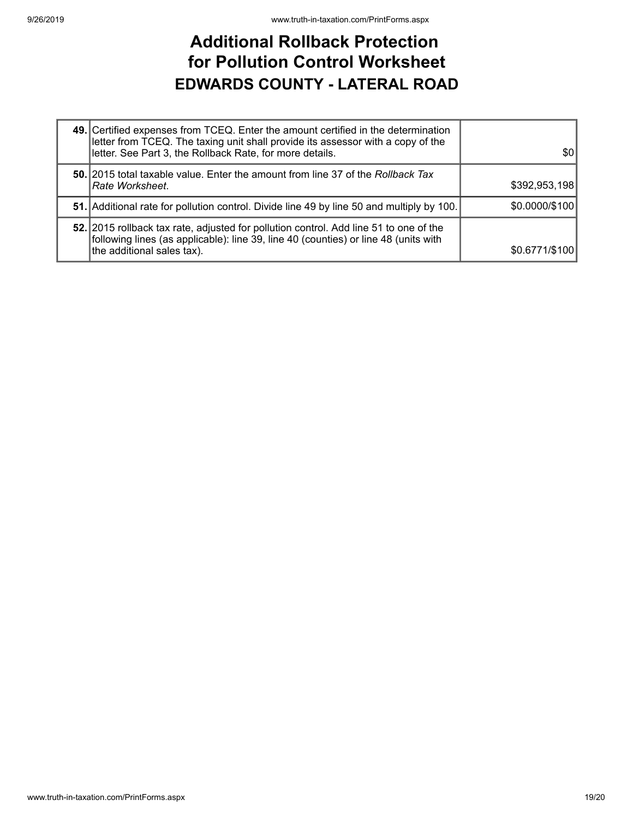### **Additional Rollback Protection for Pollution Control Worksheet EDWARDS COUNTY - LATERAL ROAD**

| 49. Certified expenses from TCEQ. Enter the amount certified in the determination<br>letter from TCEQ. The taxing unit shall provide its assessor with a copy of the<br>letter. See Part 3, the Rollback Rate, for more details. | \$0            |
|----------------------------------------------------------------------------------------------------------------------------------------------------------------------------------------------------------------------------------|----------------|
| 50. 2015 total taxable value. Enter the amount from line 37 of the Rollback Tax<br> Rate Worksheet.                                                                                                                              | \$392,953,198  |
| 51. Additional rate for pollution control. Divide line 49 by line 50 and multiply by 100.                                                                                                                                        | \$0.0000/\$100 |
| 52. 2015 rollback tax rate, adjusted for pollution control. Add line 51 to one of the<br>following lines (as applicable): line 39, line 40 (counties) or line 48 (units with<br>the additional sales tax).                       | \$0.6771/\$100 |